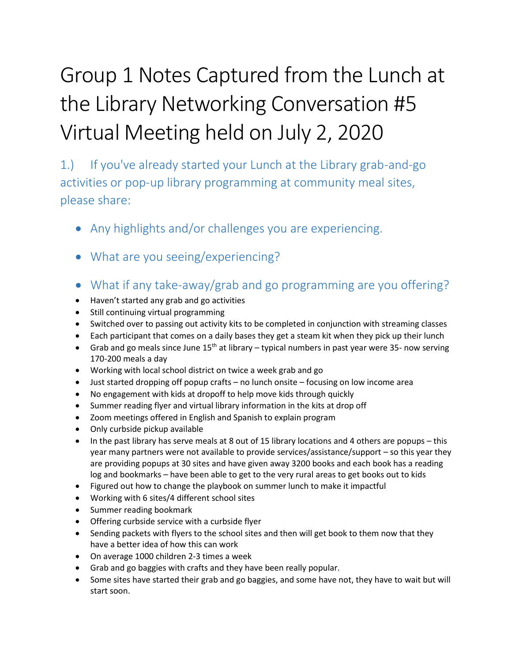# Group 1 Notes Captured from the Lunch at the Library Networking Conversation #5 Virtual Meeting held on July 2, 2020

1.) If you've already started your Lunch at the Library grab-and-go activities or pop-up library programming at community meal sites, please share:

- Any highlights and/or challenges you are experiencing.
- What are you seeing/experiencing?
- What if any take-away/grab and go programming are you offering?
- Haven't started any grab and go activities
- Still continuing virtual programming
- Switched over to passing out activity kits to be completed in conjunction with streaming classes
- Each participant that comes on a daily bases they get a steam kit when they pick up their lunch
- Grab and go meals since June  $15<sup>th</sup>$  at library typical numbers in past year were 35- now serving 170-200 meals a day
- Working with local school district on twice a week grab and go
- Just started dropping off popup crafts no lunch onsite focusing on low income area
- No engagement with kids at dropoff to help move kids through quickly
- Summer reading flyer and virtual library information in the kits at drop off
- Zoom meetings offered in English and Spanish to explain program
- Only curbside pickup available
- In the past library has serve meals at 8 out of 15 library locations and 4 others are popups this year many partners were not available to provide services/assistance/support – so this year they are providing popups at 30 sites and have given away 3200 books and each book has a reading log and bookmarks – have been able to get to the very rural areas to get books out to kids
- Figured out how to change the playbook on summer lunch to make it impactful
- Working with 6 sites/4 different school sites
- Summer reading bookmark
- Offering curbside service with a curbside flyer
- Sending packets with flyers to the school sites and then will get book to them now that they have a better idea of how this can work
- On average 1000 children 2-3 times a week
- Grab and go baggies with crafts and they have been really popular.
- Some sites have started their grab and go baggies, and some have not, they have to wait but will start soon.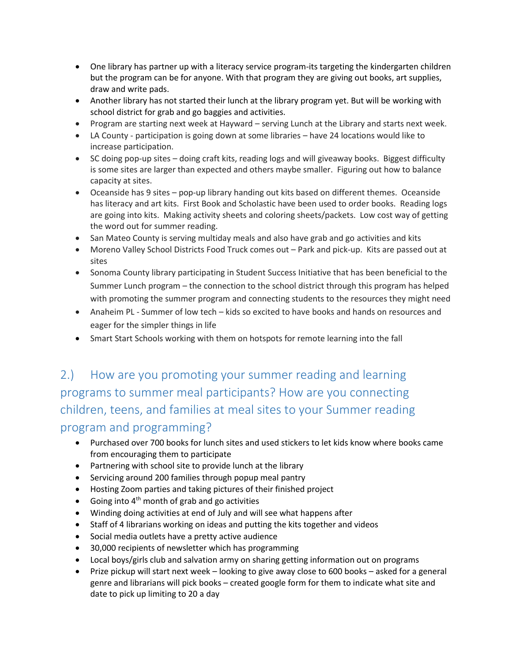- One library has partner up with a literacy service program-its targeting the kindergarten children but the program can be for anyone. With that program they are giving out books, art supplies, draw and write pads.
- Another library has not started their lunch at the library program yet. But will be working with school district for grab and go baggies and activities.
- Program are starting next week at Hayward serving Lunch at the Library and starts next week.
- LA County participation is going down at some libraries have 24 locations would like to increase participation.
- SC doing pop-up sites doing craft kits, reading logs and will giveaway books. Biggest difficulty is some sites are larger than expected and others maybe smaller. Figuring out how to balance capacity at sites.
- Oceanside has 9 sites pop-up library handing out kits based on different themes. Oceanside has literacy and art kits. First Book and Scholastic have been used to order books. Reading logs are going into kits. Making activity sheets and coloring sheets/packets. Low cost way of getting the word out for summer reading.
- San Mateo County is serving multiday meals and also have grab and go activities and kits
- Moreno Valley School Districts Food Truck comes out Park and pick-up. Kits are passed out at sites
- Sonoma County library participating in Student Success Initiative that has been beneficial to the Summer Lunch program – the connection to the school district through this program has helped with promoting the summer program and connecting students to the resources they might need
- Anaheim PL Summer of low tech kids so excited to have books and hands on resources and eager for the simpler things in life
- Smart Start Schools working with them on hotspots for remote learning into the fall

## 2.) How are you promoting your summer reading and learning programs to summer meal participants? How are you connecting children, teens, and families at meal sites to your Summer reading program and programming?

- Purchased over 700 books for lunch sites and used stickers to let kids know where books came from encouraging them to participate
- Partnering with school site to provide lunch at the library
- Servicing around 200 families through popup meal pantry
- Hosting Zoom parties and taking pictures of their finished project
- Going into  $4<sup>th</sup>$  month of grab and go activities
- Winding doing activities at end of July and will see what happens after
- Staff of 4 librarians working on ideas and putting the kits together and videos
- Social media outlets have a pretty active audience
- 30,000 recipients of newsletter which has programming
- Local boys/girls club and salvation army on sharing getting information out on programs
- Prize pickup will start next week looking to give away close to 600 books asked for a general genre and librarians will pick books – created google form for them to indicate what site and date to pick up limiting to 20 a day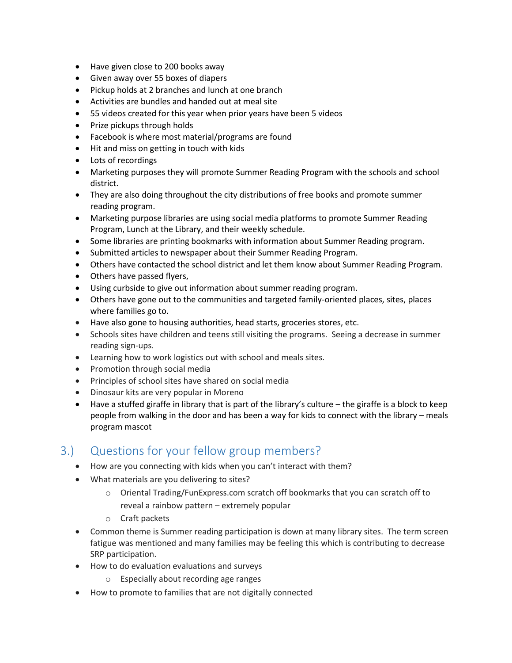- Have given close to 200 books away
- Given away over 55 boxes of diapers
- Pickup holds at 2 branches and lunch at one branch
- Activities are bundles and handed out at meal site
- 55 videos created for this year when prior years have been 5 videos
- Prize pickups through holds
- Facebook is where most material/programs are found
- Hit and miss on getting in touch with kids
- Lots of recordings
- Marketing purposes they will promote Summer Reading Program with the schools and school district.
- They are also doing throughout the city distributions of free books and promote summer reading program.
- Marketing purpose libraries are using social media platforms to promote Summer Reading Program, Lunch at the Library, and their weekly schedule.
- Some libraries are printing bookmarks with information about Summer Reading program.
- Submitted articles to newspaper about their Summer Reading Program.
- Others have contacted the school district and let them know about Summer Reading Program.
- Others have passed flyers,
- Using curbside to give out information about summer reading program.
- Others have gone out to the communities and targeted family-oriented places, sites, places where families go to.
- Have also gone to housing authorities, head starts, groceries stores, etc.
- Schools sites have children and teens still visiting the programs. Seeing a decrease in summer reading sign-ups.
- Learning how to work logistics out with school and meals sites.
- Promotion through social media
- Principles of school sites have shared on social media
- Dinosaur kits are very popular in Moreno
- Have a stuffed giraffe in library that is part of the library's culture the giraffe is a block to keep people from walking in the door and has been a way for kids to connect with the library – meals program mascot

## 3.) Questions for your fellow group members?

- How are you connecting with kids when you can't interact with them?
- What materials are you delivering to sites?
	- o Oriental Trading/FunExpress.com scratch off bookmarks that you can scratch off to reveal a rainbow pattern – extremely popular
	- o Craft packets
- Common theme is Summer reading participation is down at many library sites. The term screen fatigue was mentioned and many families may be feeling this which is contributing to decrease SRP participation.
- How to do evaluation evaluations and surveys
	- o Especially about recording age ranges
- How to promote to families that are not digitally connected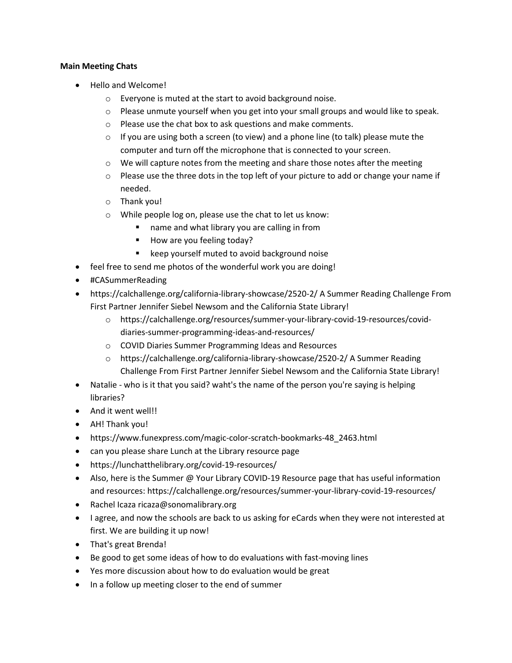#### **Main Meeting Chats**

- Hello and Welcome!
	- o Everyone is muted at the start to avoid background noise.
	- $\circ$  Please unmute yourself when you get into your small groups and would like to speak.
	- o Please use the chat box to ask questions and make comments.
	- $\circ$  If you are using both a screen (to view) and a phone line (to talk) please mute the computer and turn off the microphone that is connected to your screen.
	- $\circ$  We will capture notes from the meeting and share those notes after the meeting
	- $\circ$  Please use the three dots in the top left of your picture to add or change your name if needed.
	- o Thank you!
	- o While people log on, please use the chat to let us know:
		- name and what library you are calling in from
		- How are you feeling today?
		- keep yourself muted to avoid background noise
- feel free to send me photos of the wonderful work you are doing!
- #CASummerReading
- https://calchallenge.org/california-library-showcase/2520-2/ A Summer Reading Challenge From First Partner Jennifer Siebel Newsom and the California State Library!
	- o https://calchallenge.org/resources/summer-your-library-covid-19-resources/coviddiaries-summer-programming-ideas-and-resources/
	- o COVID Diaries Summer Programming Ideas and Resources
	- o https://calchallenge.org/california-library-showcase/2520-2/ A Summer Reading Challenge From First Partner Jennifer Siebel Newsom and the California State Library!
- Natalie who is it that you said? waht's the name of the person you're saying is helping libraries?
- And it went well!!
- AH! Thank you!
- https://www.funexpress.com/magic-color-scratch-bookmarks-48\_2463.html
- can you please share Lunch at the Library resource page
- https://lunchatthelibrary.org/covid-19-resources/
- Also, here is the Summer @ Your Library COVID-19 Resource page that has useful information and resources: https://calchallenge.org/resources/summer-your-library-covid-19-resources/
- Rachel Icaza ricaza@sonomalibrary.org
- I agree, and now the schools are back to us asking for eCards when they were not interested at first. We are building it up now!
- That's great Brenda!
- Be good to get some ideas of how to do evaluations with fast-moving lines
- Yes more discussion about how to do evaluation would be great
- In a follow up meeting closer to the end of summer